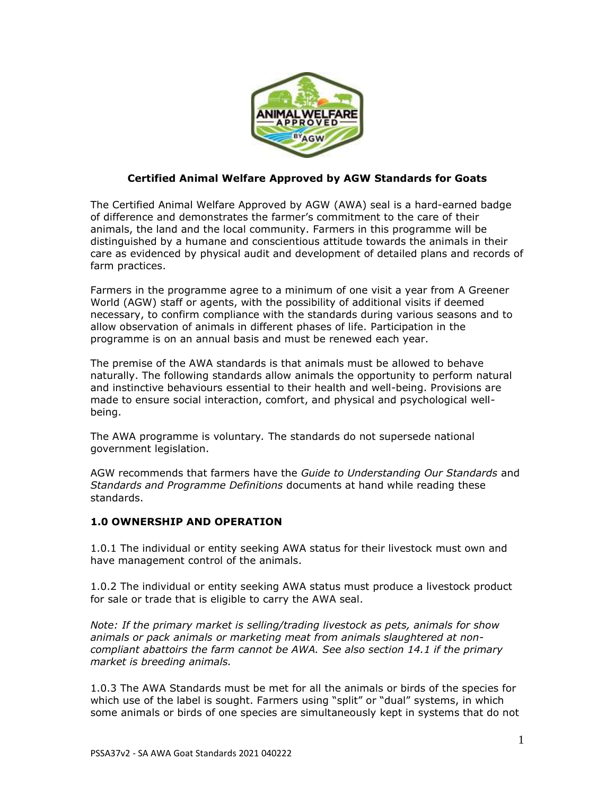

## **Certified Animal Welfare Approved by AGW Standards for Goats**

The Certified Animal Welfare Approved by AGW (AWA) seal is a hard-earned badge of difference and demonstrates the farmer's commitment to the care of their animals, the land and the local community. Farmers in this programme will be distinguished by a humane and conscientious attitude towards the animals in their care as evidenced by physical audit and development of detailed plans and records of farm practices.

Farmers in the programme agree to a minimum of one visit a year from A Greener World (AGW) staff or agents, with the possibility of additional visits if deemed necessary, to confirm compliance with the standards during various seasons and to allow observation of animals in different phases of life. Participation in the programme is on an annual basis and must be renewed each year.

The premise of the AWA standards is that animals must be allowed to behave naturally. The following standards allow animals the opportunity to perform natural and instinctive behaviours essential to their health and well-being. Provisions are made to ensure social interaction, comfort, and physical and psychological wellbeing.

The AWA programme is voluntary*.* The standards do not supersede national government legislation.

AGW recommends that farmers have the *Guide to Understanding Our Standards* and *Standards and Programme Definitions* documents at hand while reading these standards.

# **1.0 OWNERSHIP AND OPERATION**

1.0.1 The individual or entity seeking AWA status for their livestock must own and have management control of the animals.

1.0.2 The individual or entity seeking AWA status must produce a livestock product for sale or trade that is eligible to carry the AWA seal.

*Note: If the primary market is selling/trading livestock as pets, animals for show animals or pack animals or marketing meat from animals slaughtered at noncompliant abattoirs the farm cannot be AWA. See also section 14.1 if the primary market is breeding animals.*

1.0.3 The AWA Standards must be met for all the animals or birds of the species for which use of the label is sought. Farmers using "split" or "dual" systems, in which some animals or birds of one species are simultaneously kept in systems that do not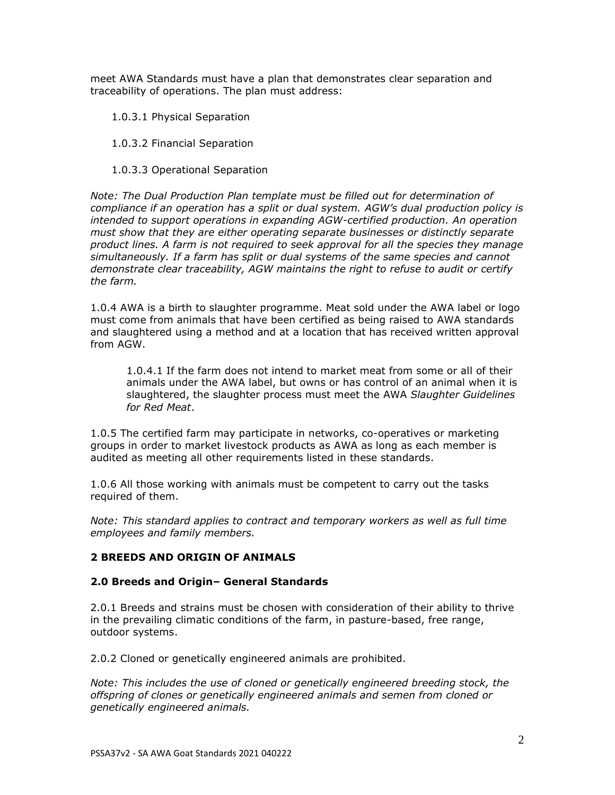meet AWA Standards must have a plan that demonstrates clear separation and traceability of operations. The plan must address:

1.0.3.1 Physical Separation

1.0.3.2 Financial Separation

1.0.3.3 Operational Separation

*Note: The Dual Production Plan template must be filled out for determination of compliance if an operation has a split or dual system. AGW's dual production policy is intended to support operations in expanding AGW-certified production. An operation must show that they are either operating separate businesses or distinctly separate product lines. A farm is not required to seek approval for all the species they manage simultaneously. If a farm has split or dual systems of the same species and cannot demonstrate clear traceability, AGW maintains the right to refuse to audit or certify the farm.*

1.0.4 AWA is a birth to slaughter programme. Meat sold under the AWA label or logo must come from animals that have been certified as being raised to AWA standards and slaughtered using a method and at a location that has received written approval from AGW.

1.0.4.1 If the farm does not intend to market meat from some or all of their animals under the AWA label, but owns or has control of an animal when it is slaughtered, the slaughter process must meet the AWA *Slaughter Guidelines for Red Meat*.

1.0.5 The certified farm may participate in networks, co-operatives or marketing groups in order to market livestock products as AWA as long as each member is audited as meeting all other requirements listed in these standards.

1.0.6 All those working with animals must be competent to carry out the tasks required of them.

*Note: This standard applies to contract and temporary workers as well as full time employees and family members.*

# **2 BREEDS AND ORIGIN OF ANIMALS**

### **2.0 Breeds and Origin– General Standards**

2.0.1 Breeds and strains must be chosen with consideration of their ability to thrive in the prevailing climatic conditions of the farm, in pasture-based, free range, outdoor systems.

2.0.2 Cloned or genetically engineered animals are prohibited.

*Note: This includes the use of cloned or genetically engineered breeding stock, the offspring of clones or genetically engineered animals and semen from cloned or genetically engineered animals.*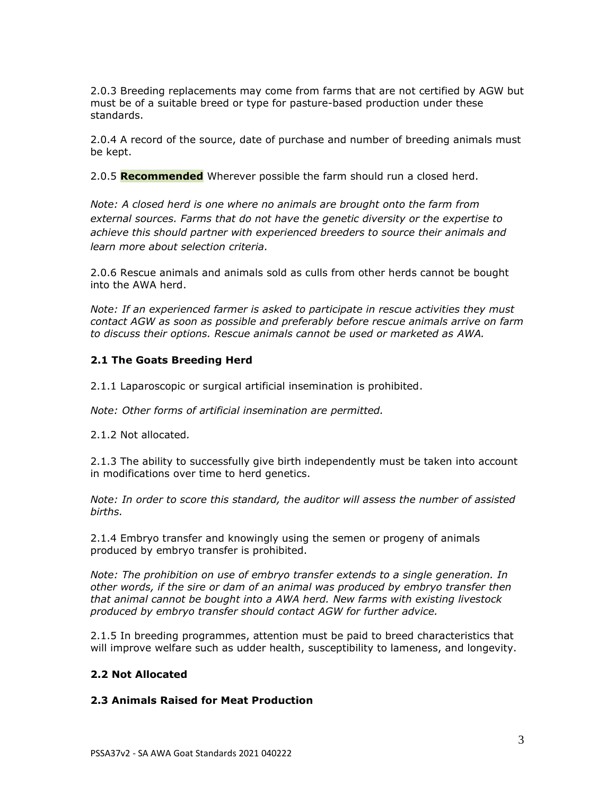2.0.3 Breeding replacements may come from farms that are not certified by AGW but must be of a suitable breed or type for pasture-based production under these standards.

2.0.4 A record of the source, date of purchase and number of breeding animals must be kept.

2.0.5 **Recommended** Wherever possible the farm should run a closed herd.

*Note: A closed herd is one where no animals are brought onto the farm from external sources. Farms that do not have the genetic diversity or the expertise to achieve this should partner with experienced breeders to source their animals and learn more about selection criteria.* 

2.0.6 Rescue animals and animals sold as culls from other herds cannot be bought into the AWA herd.

*Note: If an experienced farmer is asked to participate in rescue activities they must contact AGW as soon as possible and preferably before rescue animals arrive on farm to discuss their options. Rescue animals cannot be used or marketed as AWA.* 

#### **2.1 The Goats Breeding Herd**

2.1.1 Laparoscopic or surgical artificial insemination is prohibited.

*Note: Other forms of artificial insemination are permitted.*

2.1.2 Not allocated*.*

2.1.3 The ability to successfully give birth independently must be taken into account in modifications over time to herd genetics.

*Note: In order to score this standard, the auditor will assess the number of assisted births.*

2.1.4 Embryo transfer and knowingly using the semen or progeny of animals produced by embryo transfer is prohibited.

*Note: The prohibition on use of embryo transfer extends to a single generation. In other words, if the sire or dam of an animal was produced by embryo transfer then that animal cannot be bought into a AWA herd. New farms with existing livestock produced by embryo transfer should contact AGW for further advice.* 

2.1.5 In breeding programmes, attention must be paid to breed characteristics that will improve welfare such as udder health, susceptibility to lameness, and longevity.

### **2.2 Not Allocated**

#### **2.3 Animals Raised for Meat Production**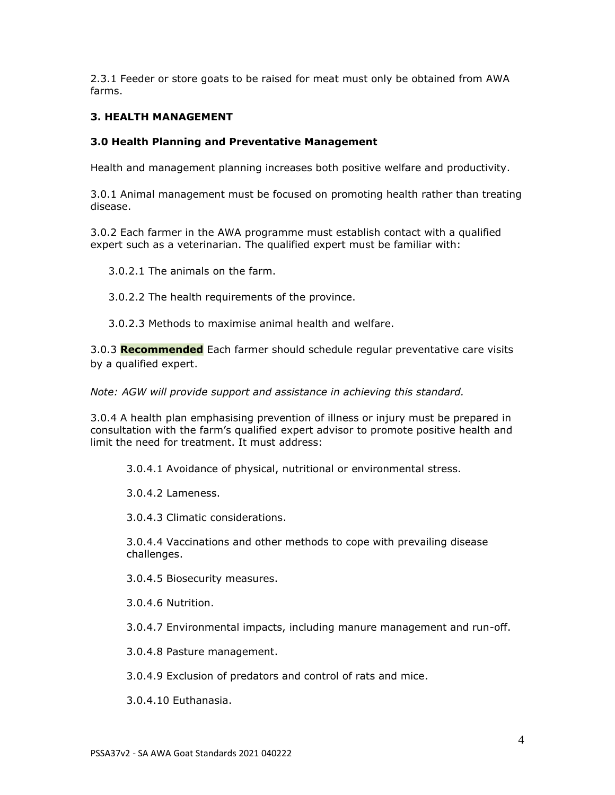2.3.1 Feeder or store goats to be raised for meat must only be obtained from AWA farms.

## **3. HEALTH MANAGEMENT**

### **3.0 Health Planning and Preventative Management**

Health and management planning increases both positive welfare and productivity.

3.0.1 Animal management must be focused on promoting health rather than treating disease.

3.0.2 Each farmer in the AWA programme must establish contact with a qualified expert such as a veterinarian. The qualified expert must be familiar with:

3.0.2.1 The animals on the farm.

3.0.2.2 The health requirements of the province.

3.0.2.3 Methods to maximise animal health and welfare.

3.0.3 **Recommended** Each farmer should schedule regular preventative care visits by a qualified expert.

*Note: AGW will provide support and assistance in achieving this standard.* 

3.0.4 A health plan emphasising prevention of illness or injury must be prepared in consultation with the farm's qualified expert advisor to promote positive health and limit the need for treatment. It must address:

3.0.4.1 Avoidance of physical, nutritional or environmental stress.

3.0.4.2 Lameness.

3.0.4.3 Climatic considerations.

3.0.4.4 Vaccinations and other methods to cope with prevailing disease challenges.

3.0.4.5 Biosecurity measures.

3.0.4.6 Nutrition.

3.0.4.7 Environmental impacts, including manure management and run-off.

3.0.4.8 Pasture management.

3.0.4.9 Exclusion of predators and control of rats and mice.

3.0.4.10 Euthanasia.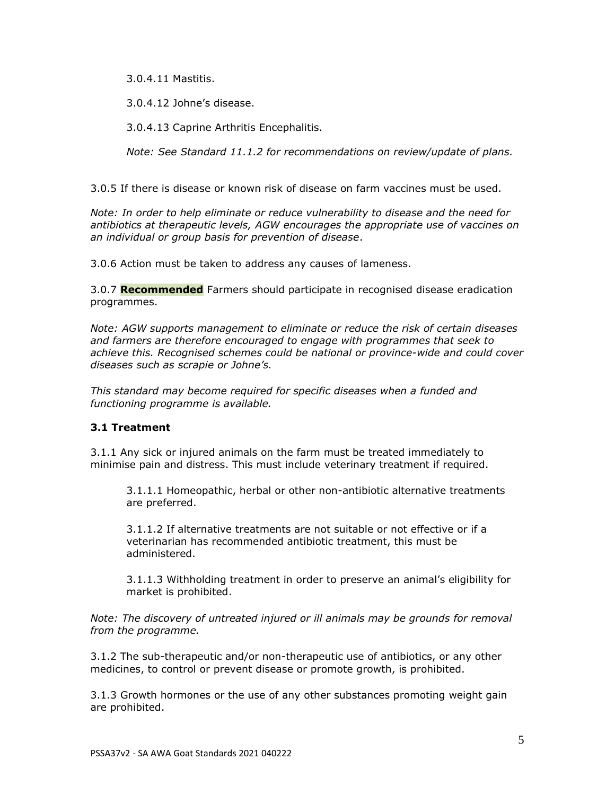3.0.4.11 Mastitis.

3.0.4.12 Johne's disease.

3.0.4.13 Caprine Arthritis Encephalitis.

*Note: See Standard 11.1.2 for recommendations on review/update of plans.*

3.0.5 If there is disease or known risk of disease on farm vaccines must be used.

*Note: In order to help eliminate or reduce vulnerability to disease and the need for antibiotics at therapeutic levels, AGW encourages the appropriate use of vaccines on an individual or group basis for prevention of disease*.

3.0.6 Action must be taken to address any causes of lameness.

3.0.7 **Recommended** Farmers should participate in recognised disease eradication programmes.

*Note: AGW supports management to eliminate or reduce the risk of certain diseases and farmers are therefore encouraged to engage with programmes that seek to achieve this. Recognised schemes could be national or province-wide and could cover diseases such as scrapie or Johne's.*

*This standard may become required for specific diseases when a funded and functioning programme is available.*

# **3.1 Treatment**

3.1.1 Any sick or injured animals on the farm must be treated immediately to minimise pain and distress. This must include veterinary treatment if required.

3.1.1.1 Homeopathic, herbal or other non-antibiotic alternative treatments are preferred.

3.1.1.2 If alternative treatments are not suitable or not effective or if a veterinarian has recommended antibiotic treatment, this must be administered.

3.1.1.3 Withholding treatment in order to preserve an animal's eligibility for market is prohibited.

*Note: The discovery of untreated injured or ill animals may be grounds for removal from the programme.*

3.1.2 The sub-therapeutic and/or non-therapeutic use of antibiotics, or any other medicines, to control or prevent disease or promote growth, is prohibited.

3.1.3 Growth hormones or the use of any other substances promoting weight gain are prohibited.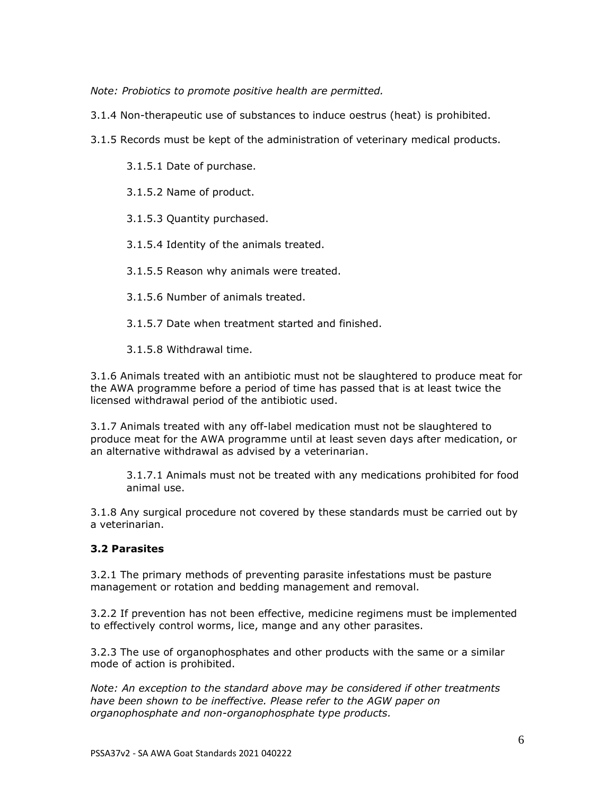*Note: Probiotics to promote positive health are permitted.*

3.1.4 Non-therapeutic use of substances to induce oestrus (heat) is prohibited.

3.1.5 Records must be kept of the administration of veterinary medical products.

3.1.5.1 Date of purchase.

3.1.5.2 Name of product.

3.1.5.3 Quantity purchased.

3.1.5.4 Identity of the animals treated.

3.1.5.5 Reason why animals were treated.

3.1.5.6 Number of animals treated.

3.1.5.7 Date when treatment started and finished.

3.1.5.8 Withdrawal time.

3.1.6 Animals treated with an antibiotic must not be slaughtered to produce meat for the AWA programme before a period of time has passed that is at least twice the licensed withdrawal period of the antibiotic used.

3.1.7 Animals treated with any off-label medication must not be slaughtered to produce meat for the AWA programme until at least seven days after medication, or an alternative withdrawal as advised by a veterinarian.

3.1.7.1 Animals must not be treated with any medications prohibited for food animal use.

3.1.8 Any surgical procedure not covered by these standards must be carried out by a veterinarian.

# **3.2 Parasites**

3.2.1 The primary methods of preventing parasite infestations must be pasture management or rotation and bedding management and removal.

3.2.2 If prevention has not been effective, medicine regimens must be implemented to effectively control worms, lice, mange and any other parasites.

3.2.3 The use of organophosphates and other products with the same or a similar mode of action is prohibited.

*Note: An exception to the standard above may be considered if other treatments have been shown to be ineffective. Please refer to the AGW paper on organophosphate and non-organophosphate type products.*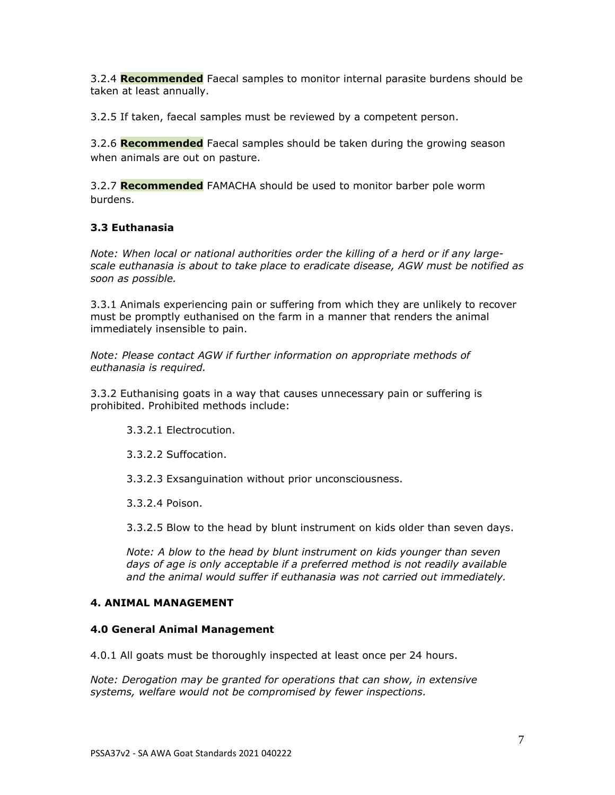3.2.4 **Recommended** Faecal samples to monitor internal parasite burdens should be taken at least annually.

3.2.5 If taken, faecal samples must be reviewed by a competent person.

3.2.6 **Recommended** Faecal samples should be taken during the growing season when animals are out on pasture.

3.2.7 **Recommended** FAMACHA should be used to monitor barber pole worm burdens.

## **3.3 Euthanasia**

*Note: When local or national authorities order the killing of a herd or if any largescale euthanasia is about to take place to eradicate disease, AGW must be notified as soon as possible.*

3.3.1 Animals experiencing pain or suffering from which they are unlikely to recover must be promptly euthanised on the farm in a manner that renders the animal immediately insensible to pain.

*Note: Please contact AGW if further information on appropriate methods of euthanasia is required.*

3.3.2 Euthanising goats in a way that causes unnecessary pain or suffering is prohibited. Prohibited methods include:

- 3.3.2.1 Electrocution.
- 3.3.2.2 Suffocation.
- 3.3.2.3 Exsanguination without prior unconsciousness.
- 3.3.2.4 Poison.

3.3.2.5 Blow to the head by blunt instrument on kids older than seven days.

*Note: A blow to the head by blunt instrument on kids younger than seven days of age is only acceptable if a preferred method is not readily available and the animal would suffer if euthanasia was not carried out immediately.*

### **4. ANIMAL MANAGEMENT**

# **4.0 General Animal Management**

4.0.1 All goats must be thoroughly inspected at least once per 24 hours.

*Note: Derogation may be granted for operations that can show, in extensive systems, welfare would not be compromised by fewer inspections.*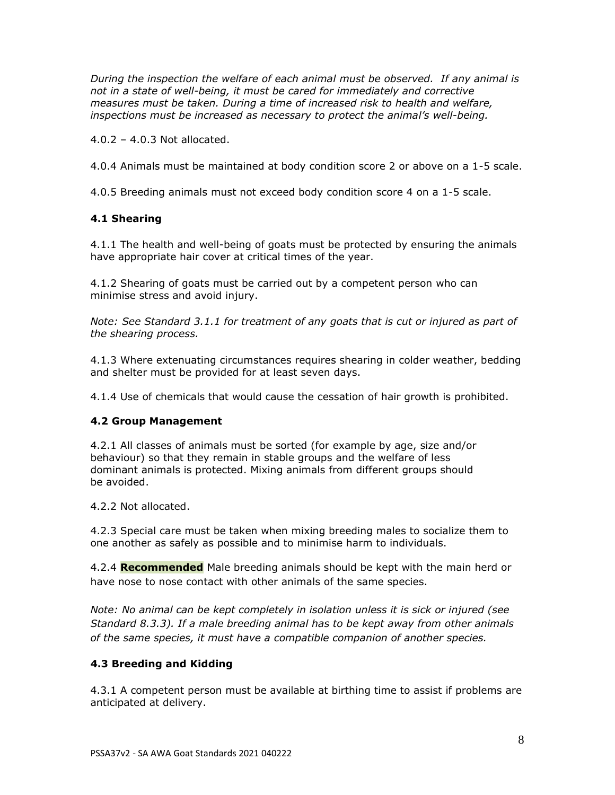*During the inspection the welfare of each animal must be observed. If any animal is not in a state of well-being, it must be cared for immediately and corrective measures must be taken. During a time of increased risk to health and welfare, inspections must be increased as necessary to protect the animal's well-being.*

4.0.2 – 4.0.3 Not allocated.

4.0.4 Animals must be maintained at body condition score 2 or above on a 1-5 scale.

4.0.5 Breeding animals must not exceed body condition score 4 on a 1-5 scale.

# **4.1 Shearing**

4.1.1 The health and well-being of goats must be protected by ensuring the animals have appropriate hair cover at critical times of the year.

4.1.2 Shearing of goats must be carried out by a competent person who can minimise stress and avoid injury.

*Note: See Standard 3.1.1 for treatment of any goats that is cut or injured as part of the shearing process.*

4.1.3 Where extenuating circumstances requires shearing in colder weather, bedding and shelter must be provided for at least seven days.

4.1.4 Use of chemicals that would cause the cessation of hair growth is prohibited.

# **4.2 Group Management**

4.2.1 All classes of animals must be sorted (for example by age, size and/or behaviour) so that they remain in stable groups and the welfare of less dominant animals is protected. Mixing animals from different groups should be avoided.

4.2.2 Not allocated.

4.2.3 Special care must be taken when mixing breeding males to socialize them to one another as safely as possible and to minimise harm to individuals.

4.2.4 **Recommended** Male breeding animals should be kept with the main herd or have nose to nose contact with other animals of the same species.

*Note: No animal can be kept completely in isolation unless it is sick or injured (see Standard 8.3.3). If a male breeding animal has to be kept away from other animals of the same species, it must have a compatible companion of another species.* 

# **4.3 Breeding and Kidding**

4.3.1 A competent person must be available at birthing time to assist if problems are anticipated at delivery.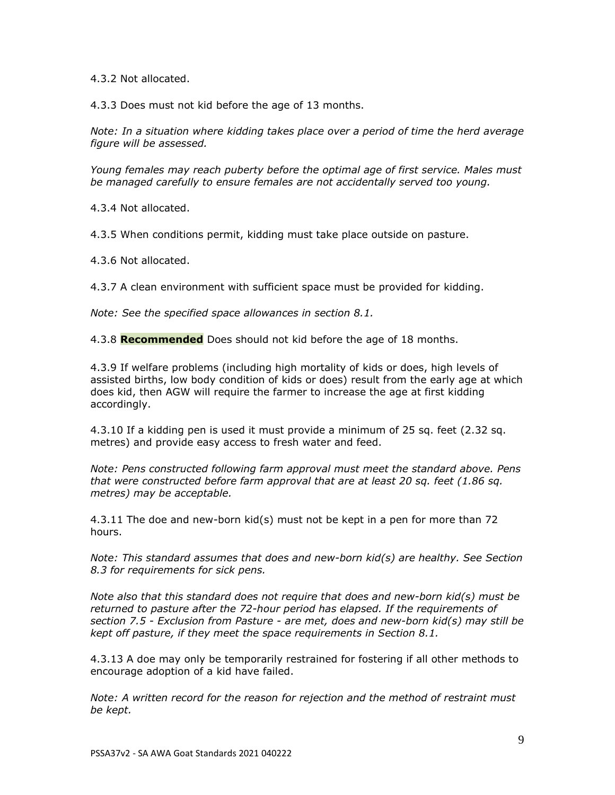4.3.2 Not allocated.

4.3.3 Does must not kid before the age of 13 months.

*Note: In a situation where kidding takes place over a period of time the herd average figure will be assessed.*

*Young females may reach puberty before the optimal age of first service. Males must be managed carefully to ensure females are not accidentally served too young.* 

4.3.4 Not allocated.

4.3.5 When conditions permit, kidding must take place outside on pasture.

4.3.6 Not allocated.

4.3.7 A clean environment with sufficient space must be provided for kidding.

*Note: See the specified space allowances in section 8.1.* 

4.3.8 **Recommended** Does should not kid before the age of 18 months.

4.3.9 If welfare problems (including high mortality of kids or does, high levels of assisted births, low body condition of kids or does) result from the early age at which does kid, then AGW will require the farmer to increase the age at first kidding accordingly.

4.3.10 If a kidding pen is used it must provide a minimum of 25 sq. feet (2.32 sq. metres) and provide easy access to fresh water and feed.

*Note: Pens constructed following farm approval must meet the standard above. Pens that were constructed before farm approval that are at least 20 sq. feet (1.86 sq. metres) may be acceptable.*

4.3.11 The doe and new-born kid(s) must not be kept in a pen for more than 72 hours.

*Note: This standard assumes that does and new-born kid(s) are healthy. See Section 8.3 for requirements for sick pens.* 

*Note also that this standard does not require that does and new-born kid(s) must be returned to pasture after the 72-hour period has elapsed. If the requirements of section 7.5 - Exclusion from Pasture - are met, does and new-born kid(s) may still be kept off pasture, if they meet the space requirements in Section 8.1.*

4.3.13 A doe may only be temporarily restrained for fostering if all other methods to encourage adoption of a kid have failed.

*Note: A written record for the reason for rejection and the method of restraint must be kept.*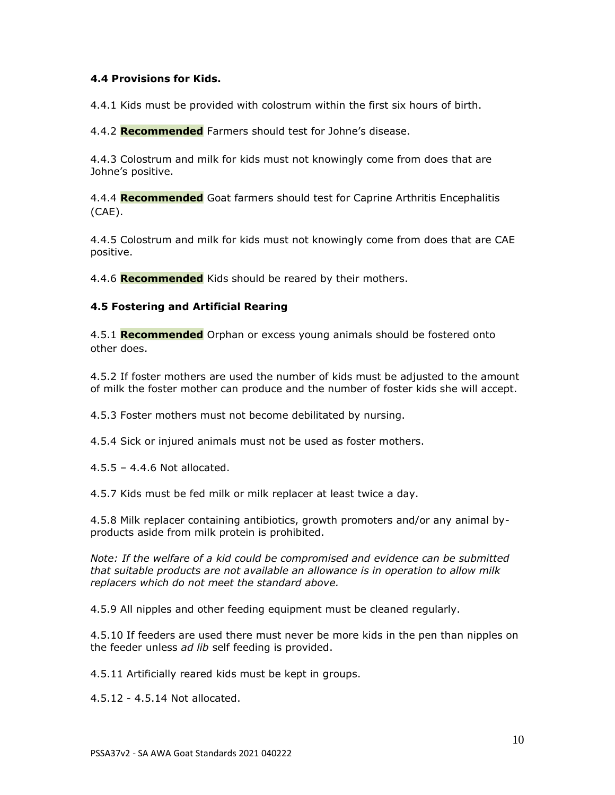## **4.4 Provisions for Kids.**

4.4.1 Kids must be provided with colostrum within the first six hours of birth.

4.4.2 **Recommended** Farmers should test for Johne's disease.

4.4.3 Colostrum and milk for kids must not knowingly come from does that are Johne's positive.

4.4.4 **Recommended** Goat farmers should test for Caprine Arthritis Encephalitis (CAE).

4.4.5 Colostrum and milk for kids must not knowingly come from does that are CAE positive.

4.4.6 **Recommended** Kids should be reared by their mothers.

## **4.5 Fostering and Artificial Rearing**

4.5.1 **Recommended** Orphan or excess young animals should be fostered onto other does.

4.5.2 If foster mothers are used the number of kids must be adjusted to the amount of milk the foster mother can produce and the number of foster kids she will accept.

4.5.3 Foster mothers must not become debilitated by nursing.

4.5.4 Sick or injured animals must not be used as foster mothers.

4.5.5 – 4.4.6 Not allocated.

4.5.7 Kids must be fed milk or milk replacer at least twice a day.

4.5.8 Milk replacer containing antibiotics, growth promoters and/or any animal byproducts aside from milk protein is prohibited.

*Note: If the welfare of a kid could be compromised and evidence can be submitted that suitable products are not available an allowance is in operation to allow milk replacers which do not meet the standard above.*

4.5.9 All nipples and other feeding equipment must be cleaned regularly.

4.5.10 If feeders are used there must never be more kids in the pen than nipples on the feeder unless *ad lib* self feeding is provided.

4.5.11 Artificially reared kids must be kept in groups.

4.5.12 - 4.5.14 Not allocated.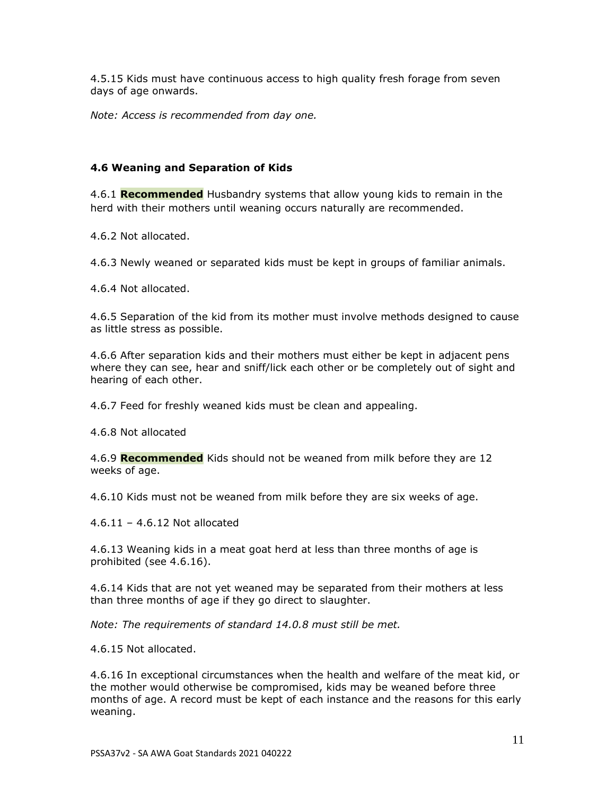4.5.15 Kids must have continuous access to high quality fresh forage from seven days of age onwards.

*Note: Access is recommended from day one.*

# **4.6 Weaning and Separation of Kids**

4.6.1 **Recommended** Husbandry systems that allow young kids to remain in the herd with their mothers until weaning occurs naturally are recommended.

4.6.2 Not allocated.

4.6.3 Newly weaned or separated kids must be kept in groups of familiar animals.

4.6.4 Not allocated.

4.6.5 Separation of the kid from its mother must involve methods designed to cause as little stress as possible.

4.6.6 After separation kids and their mothers must either be kept in adjacent pens where they can see, hear and sniff/lick each other or be completely out of sight and hearing of each other.

4.6.7 Feed for freshly weaned kids must be clean and appealing.

4.6.8 Not allocated

4.6.9 **Recommended** Kids should not be weaned from milk before they are 12 weeks of age.

4.6.10 Kids must not be weaned from milk before they are six weeks of age.

4.6.11 – 4.6.12 Not allocated

4.6.13 Weaning kids in a meat goat herd at less than three months of age is prohibited (see 4.6.16).

4.6.14 Kids that are not yet weaned may be separated from their mothers at less than three months of age if they go direct to slaughter.

*Note: The requirements of standard 14.0.8 must still be met.*

4.6.15 Not allocated.

4.6.16 In exceptional circumstances when the health and welfare of the meat kid, or the mother would otherwise be compromised, kids may be weaned before three months of age. A record must be kept of each instance and the reasons for this early weaning.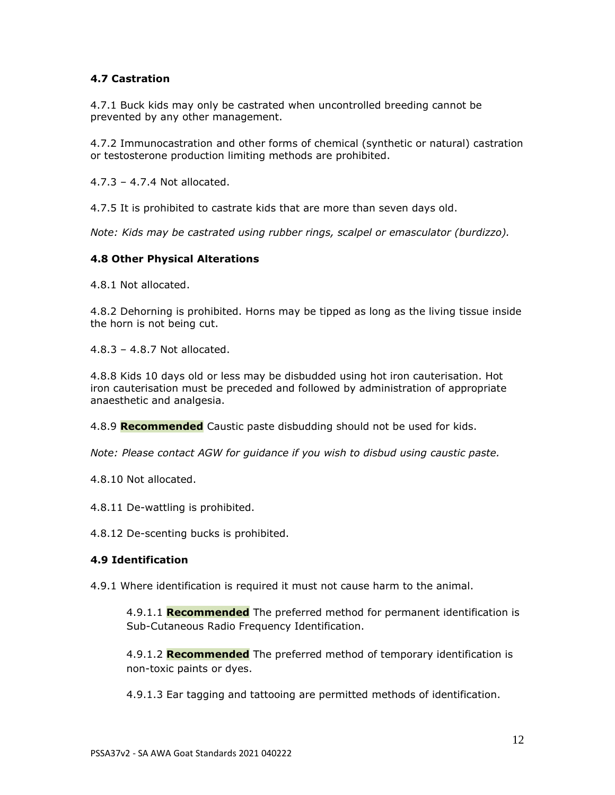# **4.7 Castration**

4.7.1 Buck kids may only be castrated when uncontrolled breeding cannot be prevented by any other management.

4.7.2 Immunocastration and other forms of chemical (synthetic or natural) castration or testosterone production limiting methods are prohibited.

4.7.3 – 4.7.4 Not allocated.

4.7.5 It is prohibited to castrate kids that are more than seven days old.

*Note: Kids may be castrated using rubber rings, scalpel or emasculator (burdizzo).*

### **4.8 Other Physical Alterations**

4.8.1 Not allocated.

4.8.2 Dehorning is prohibited. Horns may be tipped as long as the living tissue inside the horn is not being cut.

4.8.3 – 4.8.7 Not allocated.

4.8.8 Kids 10 days old or less may be disbudded using hot iron cauterisation. Hot iron cauterisation must be preceded and followed by administration of appropriate anaesthetic and analgesia.

4.8.9 **Recommended** Caustic paste disbudding should not be used for kids.

*Note: Please contact AGW for guidance if you wish to disbud using caustic paste.*

4.8.10 Not allocated.

4.8.11 De-wattling is prohibited.

4.8.12 De-scenting bucks is prohibited.

### **4.9 Identification**

4.9.1 Where identification is required it must not cause harm to the animal.

4.9.1.1 **Recommended** The preferred method for permanent identification is Sub-Cutaneous Radio Frequency Identification.

4.9.1.2 **Recommended** The preferred method of temporary identification is non-toxic paints or dyes.

4.9.1.3 Ear tagging and tattooing are permitted methods of identification.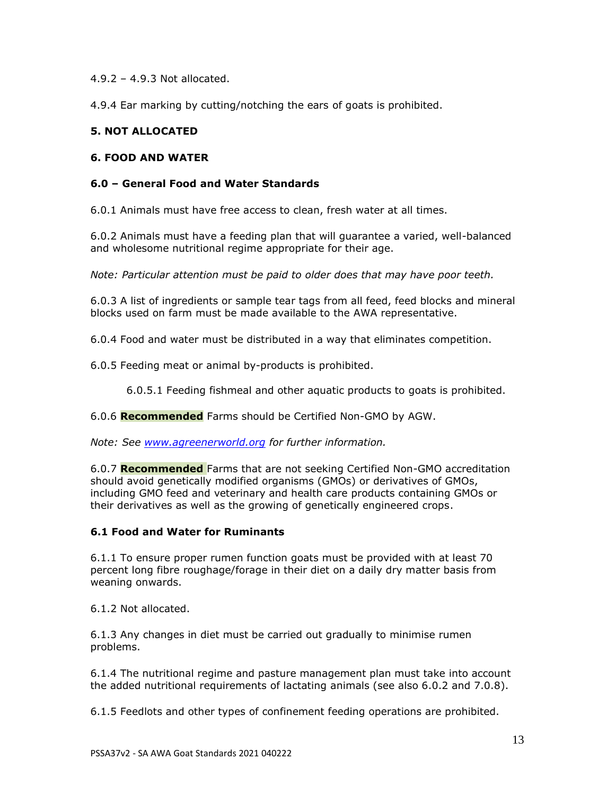4.9.2 – 4.9.3 Not allocated.

4.9.4 Ear marking by cutting/notching the ears of goats is prohibited.

# **5. NOT ALLOCATED**

## **6. FOOD AND WATER**

### **6.0 – General Food and Water Standards**

6.0.1 Animals must have free access to clean, fresh water at all times.

6.0.2 Animals must have a feeding plan that will guarantee a varied, well-balanced and wholesome nutritional regime appropriate for their age.

*Note: Particular attention must be paid to older does that may have poor teeth.*

6.0.3 A list of ingredients or sample tear tags from all feed, feed blocks and mineral blocks used on farm must be made available to the AWA representative.

6.0.4 Food and water must be distributed in a way that eliminates competition.

6.0.5 Feeding meat or animal by-products is prohibited.

6.0.5.1 Feeding fishmeal and other aquatic products to goats is prohibited.

6.0.6 **Recommended** Farms should be Certified Non-GMO by AGW.

*Note: See [www.agreenerworld.org](http://www.agreenerworld.org/) for further information.*

6.0.7 **Recommended** Farms that are not seeking Certified Non-GMO accreditation should avoid genetically modified organisms (GMOs) or derivatives of GMOs, including GMO feed and veterinary and health care products containing GMOs or their derivatives as well as the growing of genetically engineered crops.

### **6.1 Food and Water for Ruminants**

6.1.1 To ensure proper rumen function goats must be provided with at least 70 percent long fibre roughage/forage in their diet on a daily dry matter basis from weaning onwards.

6.1.2 Not allocated.

6.1.3 Any changes in diet must be carried out gradually to minimise rumen problems.

6.1.4 The nutritional regime and pasture management plan must take into account the added nutritional requirements of lactating animals (see also 6.0.2 and 7.0.8).

6.1.5 Feedlots and other types of confinement feeding operations are prohibited.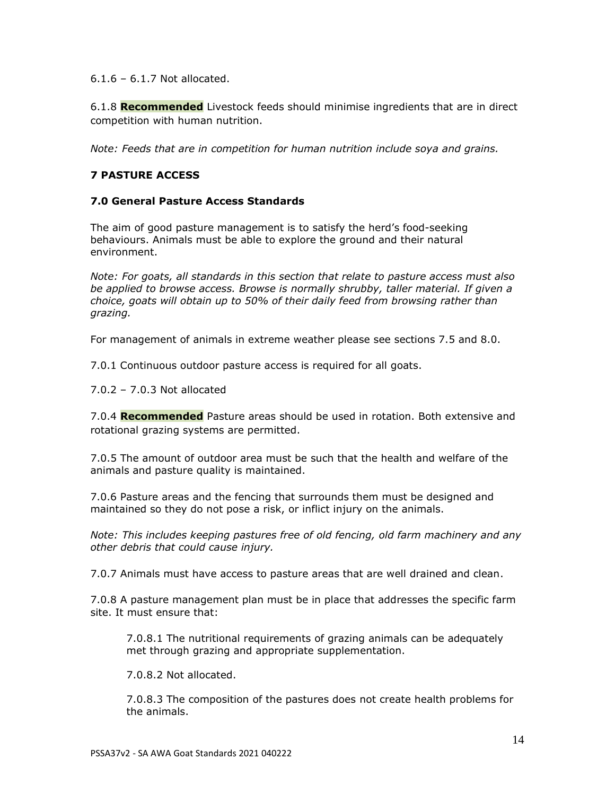6.1.6 – 6.1.7 Not allocated.

6.1.8 **Recommended** Livestock feeds should minimise ingredients that are in direct competition with human nutrition.

*Note: Feeds that are in competition for human nutrition include soya and grains.* 

# **7 PASTURE ACCESS**

# **7.0 General Pasture Access Standards**

The aim of good pasture management is to satisfy the herd's food-seeking behaviours. Animals must be able to explore the ground and their natural environment.

*Note: For goats, all standards in this section that relate to pasture access must also*  be applied to browse access. Browse is normally shrubby, taller material. If given a *choice, goats will obtain up to 50% of their daily feed from browsing rather than grazing.*

For management of animals in extreme weather please see sections 7.5 and 8.0.

7.0.1 Continuous outdoor pasture access is required for all goats.

7.0.2 – 7.0.3 Not allocated

7.0.4 **Recommended** Pasture areas should be used in rotation. Both extensive and rotational grazing systems are permitted.

7.0.5 The amount of outdoor area must be such that the health and welfare of the animals and pasture quality is maintained.

7.0.6 Pasture areas and the fencing that surrounds them must be designed and maintained so they do not pose a risk, or inflict injury on the animals.

*Note: This includes keeping pastures free of old fencing, old farm machinery and any other debris that could cause injury.* 

7.0.7 Animals must have access to pasture areas that are well drained and clean.

7.0.8 A pasture management plan must be in place that addresses the specific farm site. It must ensure that:

7.0.8.1 The nutritional requirements of grazing animals can be adequately met through grazing and appropriate supplementation.

7.0.8.2 Not allocated.

7.0.8.3 The composition of the pastures does not create health problems for the animals.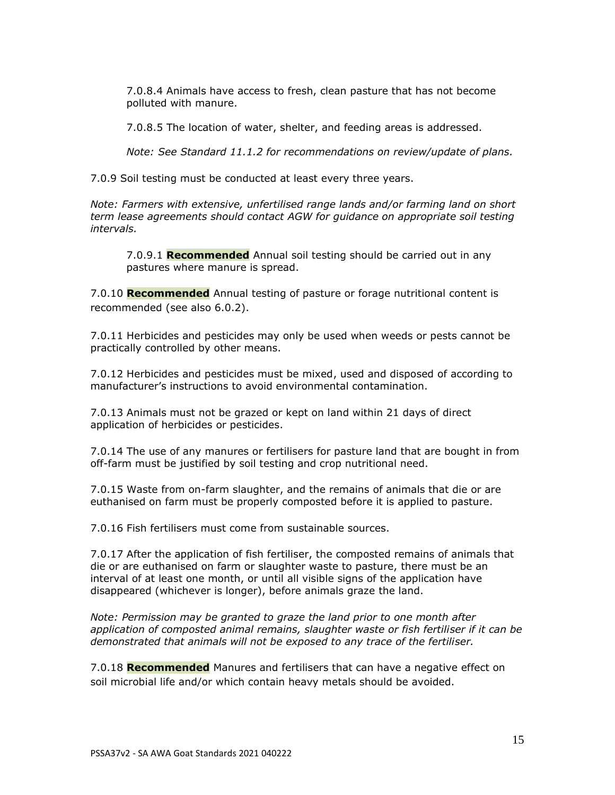7.0.8.4 Animals have access to fresh, clean pasture that has not become polluted with manure.

7.0.8.5 The location of water, shelter, and feeding areas is addressed.

*Note: See Standard 11.1.2 for recommendations on review/update of plans.*

7.0.9 Soil testing must be conducted at least every three years.

*Note: Farmers with extensive, unfertilised range lands and/or farming land on short term lease agreements should contact AGW for guidance on appropriate soil testing intervals.* 

7.0.9.1 **Recommended** Annual soil testing should be carried out in any pastures where manure is spread.

7.0.10 **Recommended** Annual testing of pasture or forage nutritional content is recommended (see also 6.0.2).

7.0.11 Herbicides and pesticides may only be used when weeds or pests cannot be practically controlled by other means.

7.0.12 Herbicides and pesticides must be mixed, used and disposed of according to manufacturer's instructions to avoid environmental contamination.

7.0.13 Animals must not be grazed or kept on land within 21 days of direct application of herbicides or pesticides.

7.0.14 The use of any manures or fertilisers for pasture land that are bought in from off-farm must be justified by soil testing and crop nutritional need.

7.0.15 Waste from on-farm slaughter, and the remains of animals that die or are euthanised on farm must be properly composted before it is applied to pasture.

7.0.16 Fish fertilisers must come from sustainable sources.

7.0.17 After the application of fish fertiliser, the composted remains of animals that die or are euthanised on farm or slaughter waste to pasture, there must be an interval of at least one month, or until all visible signs of the application have disappeared (whichever is longer), before animals graze the land.

*Note: Permission may be granted to graze the land prior to one month after application of composted animal remains, slaughter waste or fish fertiliser if it can be demonstrated that animals will not be exposed to any trace of the fertiliser.*

7.0.18 **Recommended** Manures and fertilisers that can have a negative effect on soil microbial life and/or which contain heavy metals should be avoided.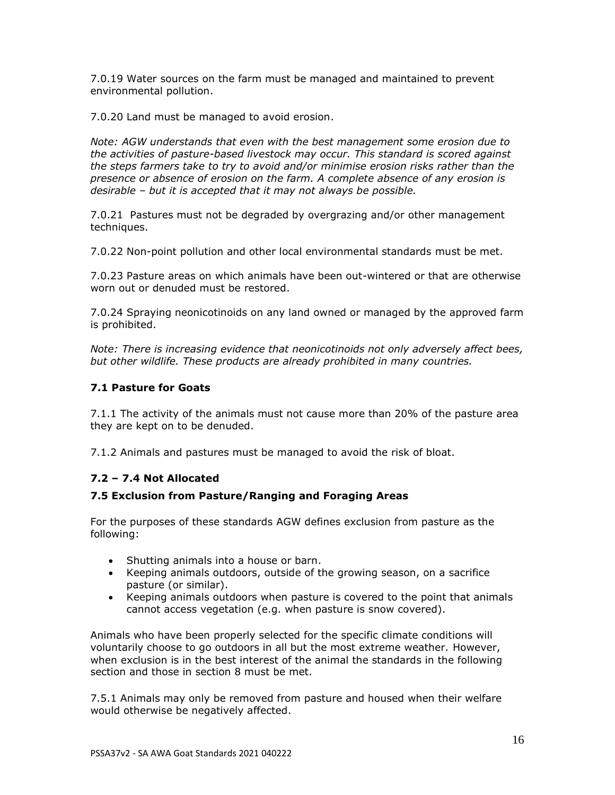7.0.19 Water sources on the farm must be managed and maintained to prevent environmental pollution.

7.0.20 Land must be managed to avoid erosion.

*Note: AGW understands that even with the best management some erosion due to the activities of pasture-based livestock may occur. This standard is scored against the steps farmers take to try to avoid and/or minimise erosion risks rather than the presence or absence of erosion on the farm. A complete absence of any erosion is desirable – but it is accepted that it may not always be possible.*

7.0.21 Pastures must not be degraded by overgrazing and/or other management techniques.

7.0.22 Non-point pollution and other local environmental standards must be met.

7.0.23 Pasture areas on which animals have been out-wintered or that are otherwise worn out or denuded must be restored.

7.0.24 Spraying neonicotinoids on any land owned or managed by the approved farm is prohibited.

*Note: There is increasing evidence that neonicotinoids not only adversely affect bees, but other wildlife. These products are already prohibited in many countries.*

# **7.1 Pasture for Goats**

7.1.1 The activity of the animals must not cause more than 20% of the pasture area they are kept on to be denuded.

7.1.2 Animals and pastures must be managed to avoid the risk of bloat.

# **7.2 – 7.4 Not Allocated**

### **7.5 Exclusion from Pasture/Ranging and Foraging Areas**

For the purposes of these standards AGW defines exclusion from pasture as the following:

- Shutting animals into a house or barn.
- Keeping animals outdoors, outside of the growing season, on a sacrifice pasture (or similar).
- Keeping animals outdoors when pasture is covered to the point that animals cannot access vegetation (e.g. when pasture is snow covered).

Animals who have been properly selected for the specific climate conditions will voluntarily choose to go outdoors in all but the most extreme weather. However, when exclusion is in the best interest of the animal the standards in the following section and those in section 8 must be met.

7.5.1 Animals may only be removed from pasture and housed when their welfare would otherwise be negatively affected.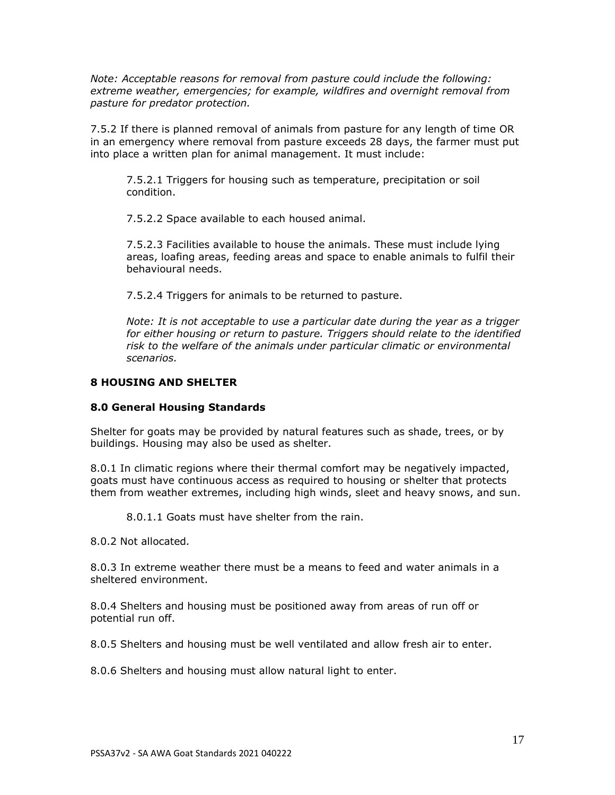*Note: Acceptable reasons for removal from pasture could include the following: extreme weather, emergencies; for example, wildfires and overnight removal from pasture for predator protection.*

7.5.2 If there is planned removal of animals from pasture for any length of time OR in an emergency where removal from pasture exceeds 28 days, the farmer must put into place a written plan for animal management. It must include:

7.5.2.1 Triggers for housing such as temperature, precipitation or soil condition.

7.5.2.2 Space available to each housed animal.

7.5.2.3 Facilities available to house the animals. These must include lying areas, loafing areas, feeding areas and space to enable animals to fulfil their behavioural needs.

7.5.2.4 Triggers for animals to be returned to pasture.

*Note: It is not acceptable to use a particular date during the year as a trigger for either housing or return to pasture. Triggers should relate to the identified risk to the welfare of the animals under particular climatic or environmental scenarios.*

#### **8 HOUSING AND SHELTER**

#### **8.0 General Housing Standards**

Shelter for goats may be provided by natural features such as shade, trees, or by buildings. Housing may also be used as shelter.

8.0.1 In climatic regions where their thermal comfort may be negatively impacted, goats must have continuous access as required to housing or shelter that protects them from weather extremes, including high winds, sleet and heavy snows, and sun.

8.0.1.1 Goats must have shelter from the rain.

8.0.2 Not allocated*.*

8.0.3 In extreme weather there must be a means to feed and water animals in a sheltered environment.

8.0.4 Shelters and housing must be positioned away from areas of run off or potential run off.

8.0.5 Shelters and housing must be well ventilated and allow fresh air to enter.

8.0.6 Shelters and housing must allow natural light to enter.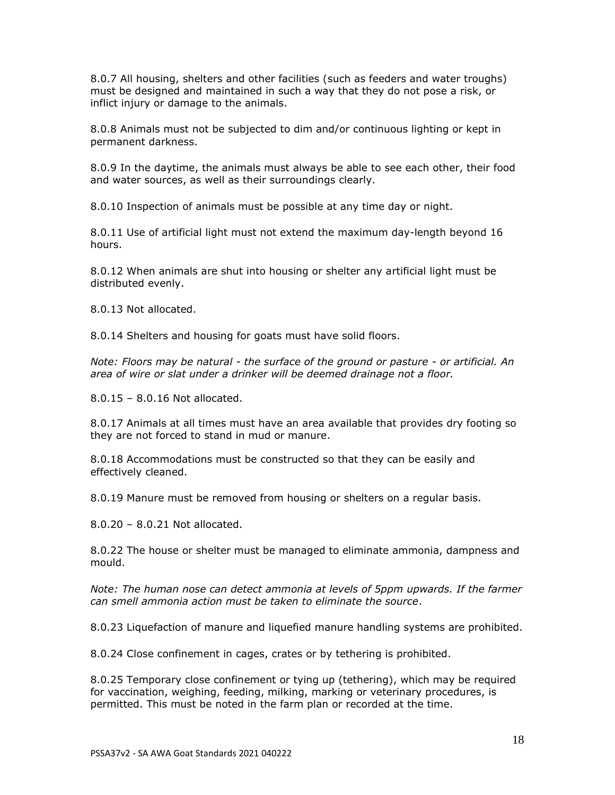8.0.7 All housing, shelters and other facilities (such as feeders and water troughs) must be designed and maintained in such a way that they do not pose a risk, or inflict injury or damage to the animals.

8.0.8 Animals must not be subjected to dim and/or continuous lighting or kept in permanent darkness.

8.0.9 In the daytime, the animals must always be able to see each other, their food and water sources, as well as their surroundings clearly.

8.0.10 Inspection of animals must be possible at any time day or night.

8.0.11 Use of artificial light must not extend the maximum day-length beyond 16 hours.

8.0.12 When animals are shut into housing or shelter any artificial light must be distributed evenly.

8.0.13 Not allocated.

8.0.14 Shelters and housing for goats must have solid floors.

*Note: Floors may be natural - the surface of the ground or pasture - or artificial. An area of wire or slat under a drinker will be deemed drainage not a floor.* 

8.0.15 – 8.0.16 Not allocated.

8.0.17 Animals at all times must have an area available that provides dry footing so they are not forced to stand in mud or manure.

8.0.18 Accommodations must be constructed so that they can be easily and effectively cleaned.

8.0.19 Manure must be removed from housing or shelters on a regular basis.

8.0.20 – 8.0.21 Not allocated.

8.0.22 The house or shelter must be managed to eliminate ammonia, dampness and mould.

*Note: The human nose can detect ammonia at levels of 5ppm upwards. If the farmer can smell ammonia action must be taken to eliminate the source*.

8.0.23 Liquefaction of manure and liquefied manure handling systems are prohibited.

8.0.24 Close confinement in cages, crates or by tethering is prohibited.

8.0.25 Temporary close confinement or tying up (tethering), which may be required for vaccination, weighing, feeding, milking, marking or veterinary procedures, is permitted. This must be noted in the farm plan or recorded at the time.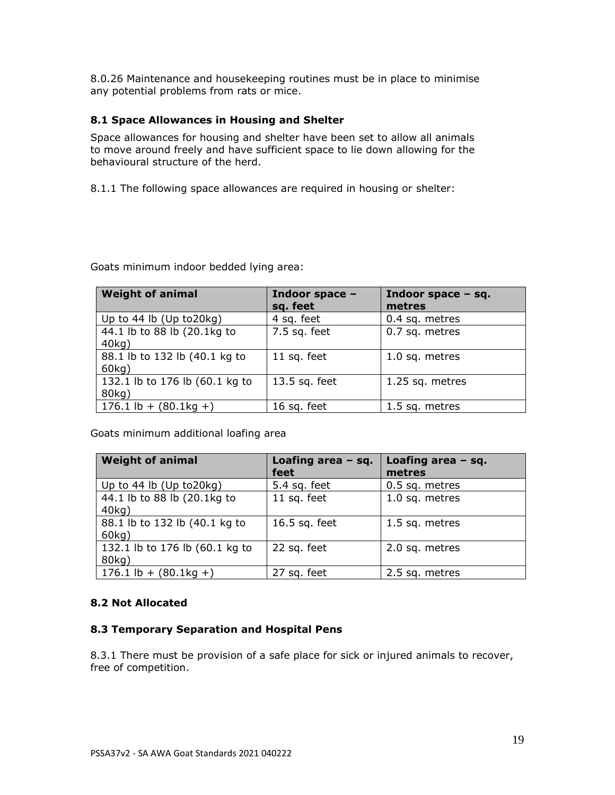8.0.26 Maintenance and housekeeping routines must be in place to minimise any potential problems from rats or mice.

## **8.1 Space Allowances in Housing and Shelter**

Space allowances for housing and shelter have been set to allow all animals to move around freely and have sufficient space to lie down allowing for the behavioural structure of the herd.

8.1.1 The following space allowances are required in housing or shelter:

Goats minimum indoor bedded lying area:

| <b>Weight of animal</b>                 | Indoor space -<br>sq. feet | Indoor space $-$ sq.<br>metres |
|-----------------------------------------|----------------------------|--------------------------------|
| Up to $44$ lb (Up to $20kg$ )           | 4 sq. feet                 | 0.4 sq. metres                 |
| 44.1 lb to 88 lb (20.1kg to<br>40kg)    | $7.5$ sq. feet             | 0.7 sq. metres                 |
| 88.1 lb to 132 lb (40.1 kg to<br>60kg)  | 11 sq. feet                | 1.0 sq. metres                 |
| 132.1 lb to 176 lb (60.1 kg to<br>80kg) | 13.5 sq. feet              | 1.25 sq. metres                |
| $176.1$ lb + $(80.1 \text{kg} + )$      | 16 sq. feet                | 1.5 sq. metres                 |

Goats minimum additional loafing area

| <b>Weight of animal</b>                 | Loafing area $-$ sq.<br>feet | Loafing area $-$ sq.<br>metres |
|-----------------------------------------|------------------------------|--------------------------------|
| Up to $44$ lb (Up to $20kg$ )           | 5.4 sq. feet                 | 0.5 sq. metres                 |
| 44.1 lb to 88 lb (20.1kg to<br>40kg)    | 11 sq. feet                  | 1.0 sq. metres                 |
| 88.1 lb to 132 lb (40.1 kg to<br>60kg)  | 16.5 sq. feet                | 1.5 sq. metres                 |
| 132.1 lb to 176 lb (60.1 kg to<br>80kg) | 22 sq. feet                  | 2.0 sq. metres                 |
| $176.1$ lb + $(80.1$ kg +)              | 27 sq. feet                  | 2.5 sq. metres                 |

# **8.2 Not Allocated**

### **8.3 Temporary Separation and Hospital Pens**

8.3.1 There must be provision of a safe place for sick or injured animals to recover, free of competition.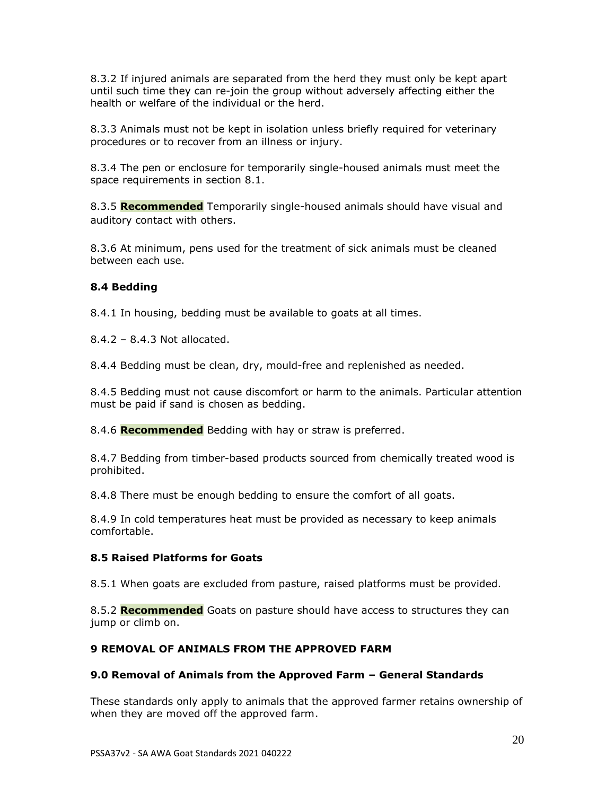8.3.2 If injured animals are separated from the herd they must only be kept apart until such time they can re-join the group without adversely affecting either the health or welfare of the individual or the herd.

8.3.3 Animals must not be kept in isolation unless briefly required for veterinary procedures or to recover from an illness or injury.

8.3.4 The pen or enclosure for temporarily single-housed animals must meet the space requirements in section 8.1.

8.3.5 **Recommended** Temporarily single-housed animals should have visual and auditory contact with others.

8.3.6 At minimum, pens used for the treatment of sick animals must be cleaned between each use.

## **8.4 Bedding**

8.4.1 In housing, bedding must be available to goats at all times.

8.4.2 – 8.4.3 Not allocated.

8.4.4 Bedding must be clean, dry, mould-free and replenished as needed.

8.4.5 Bedding must not cause discomfort or harm to the animals. Particular attention must be paid if sand is chosen as bedding.

8.4.6 **Recommended** Bedding with hay or straw is preferred.

8.4.7 Bedding from timber-based products sourced from chemically treated wood is prohibited.

8.4.8 There must be enough bedding to ensure the comfort of all goats.

8.4.9 In cold temperatures heat must be provided as necessary to keep animals comfortable.

### **8.5 Raised Platforms for Goats**

8.5.1 When goats are excluded from pasture, raised platforms must be provided.

8.5.2 **Recommended** Goats on pasture should have access to structures they can jump or climb on.

### **9 REMOVAL OF ANIMALS FROM THE APPROVED FARM**

### **9.0 Removal of Animals from the Approved Farm – General Standards**

These standards only apply to animals that the approved farmer retains ownership of when they are moved off the approved farm.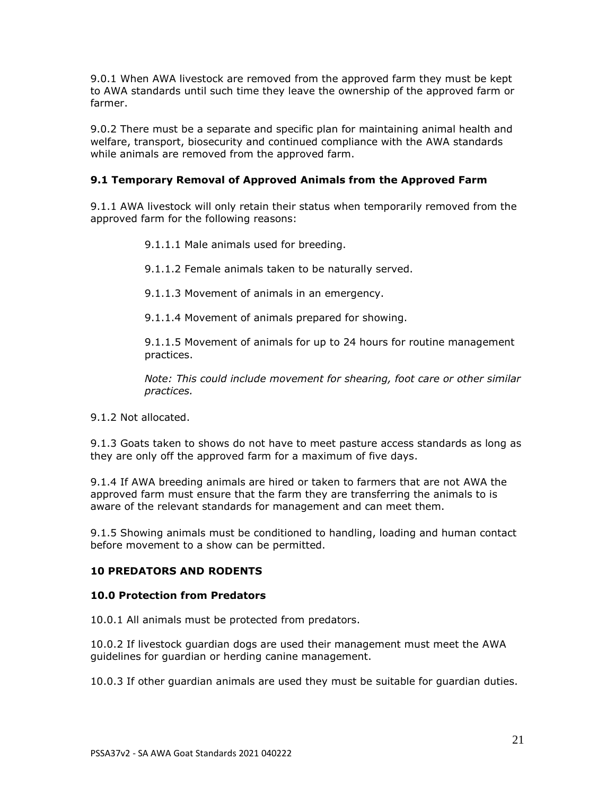9.0.1 When AWA livestock are removed from the approved farm they must be kept to AWA standards until such time they leave the ownership of the approved farm or farmer.

9.0.2 There must be a separate and specific plan for maintaining animal health and welfare, transport, biosecurity and continued compliance with the AWA standards while animals are removed from the approved farm.

# **9.1 Temporary Removal of Approved Animals from the Approved Farm**

9.1.1 AWA livestock will only retain their status when temporarily removed from the approved farm for the following reasons:

9.1.1.1 Male animals used for breeding.

9.1.1.2 Female animals taken to be naturally served.

9.1.1.3 Movement of animals in an emergency.

9.1.1.4 Movement of animals prepared for showing.

9.1.1.5 Movement of animals for up to 24 hours for routine management practices.

*Note: This could include movement for shearing, foot care or other similar practices.*

9.1.2 Not allocated.

9.1.3 Goats taken to shows do not have to meet pasture access standards as long as they are only off the approved farm for a maximum of five days.

9.1.4 If AWA breeding animals are hired or taken to farmers that are not AWA the approved farm must ensure that the farm they are transferring the animals to is aware of the relevant standards for management and can meet them.

9.1.5 Showing animals must be conditioned to handling, loading and human contact before movement to a show can be permitted.

# **10 PREDATORS AND RODENTS**

### **10.0 Protection from Predators**

10.0.1 All animals must be protected from predators.

10.0.2 If livestock guardian dogs are used their management must meet the AWA guidelines for guardian or herding canine management.

10.0.3 If other guardian animals are used they must be suitable for guardian duties.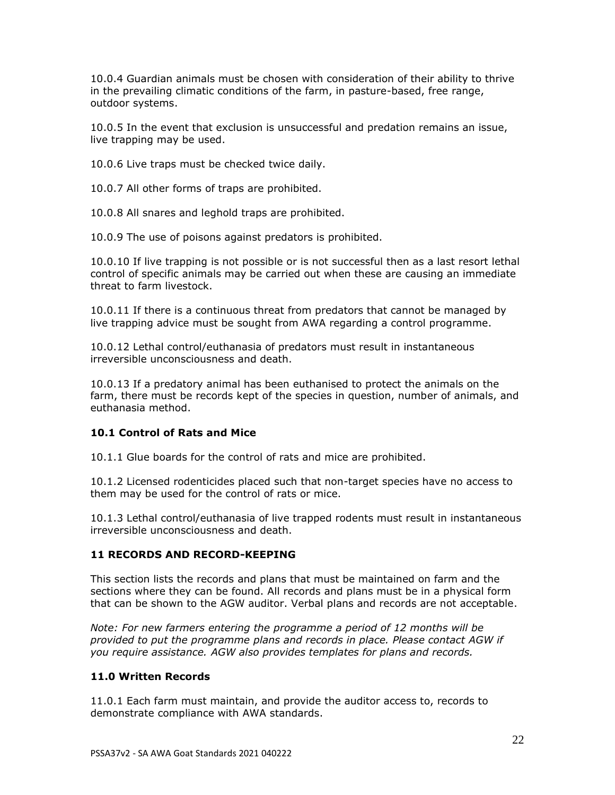10.0.4 Guardian animals must be chosen with consideration of their ability to thrive in the prevailing climatic conditions of the farm, in pasture-based, free range, outdoor systems.

10.0.5 In the event that exclusion is unsuccessful and predation remains an issue, live trapping may be used.

10.0.6 Live traps must be checked twice daily.

10.0.7 All other forms of traps are prohibited.

10.0.8 All snares and leghold traps are prohibited.

10.0.9 The use of poisons against predators is prohibited.

10.0.10 If live trapping is not possible or is not successful then as a last resort lethal control of specific animals may be carried out when these are causing an immediate threat to farm livestock.

10.0.11 If there is a continuous threat from predators that cannot be managed by live trapping advice must be sought from AWA regarding a control programme.

10.0.12 Lethal control/euthanasia of predators must result in instantaneous irreversible unconsciousness and death.

10.0.13 If a predatory animal has been euthanised to protect the animals on the farm, there must be records kept of the species in question, number of animals, and euthanasia method.

### **10.1 Control of Rats and Mice**

10.1.1 Glue boards for the control of rats and mice are prohibited.

10.1.2 Licensed rodenticides placed such that non-target species have no access to them may be used for the control of rats or mice.

10.1.3 Lethal control/euthanasia of live trapped rodents must result in instantaneous irreversible unconsciousness and death.

### **11 RECORDS AND RECORD-KEEPING**

This section lists the records and plans that must be maintained on farm and the sections where they can be found. All records and plans must be in a physical form that can be shown to the AGW auditor. Verbal plans and records are not acceptable.

*Note: For new farmers entering the programme a period of 12 months will be provided to put the programme plans and records in place. Please contact AGW if you require assistance. AGW also provides templates for plans and records.*

### **11.0 Written Records**

11.0.1 Each farm must maintain, and provide the auditor access to, records to demonstrate compliance with AWA standards.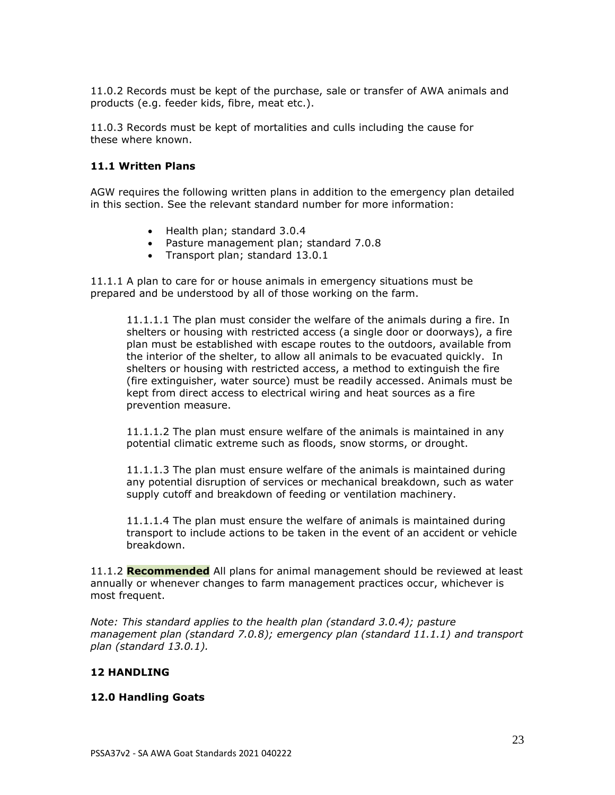11.0.2 Records must be kept of the purchase, sale or transfer of AWA animals and products (e.g. feeder kids, fibre, meat etc.).

11.0.3 Records must be kept of mortalities and culls including the cause for these where known.

### **11.1 Written Plans**

AGW requires the following written plans in addition to the emergency plan detailed in this section. See the relevant standard number for more information:

- Health plan; standard 3.0.4
- Pasture management plan; standard 7.0.8
- Transport plan; standard 13.0.1

11.1.1 A plan to care for or house animals in emergency situations must be prepared and be understood by all of those working on the farm.

11.1.1.1 The plan must consider the welfare of the animals during a fire. In shelters or housing with restricted access (a single door or doorways), a fire plan must be established with escape routes to the outdoors, available from the interior of the shelter, to allow all animals to be evacuated quickly. In shelters or housing with restricted access, a method to extinguish the fire (fire extinguisher, water source) must be readily accessed. Animals must be kept from direct access to electrical wiring and heat sources as a fire prevention measure.

11.1.1.2 The plan must ensure welfare of the animals is maintained in any potential climatic extreme such as floods, snow storms, or drought.

11.1.1.3 The plan must ensure welfare of the animals is maintained during any potential disruption of services or mechanical breakdown, such as water supply cutoff and breakdown of feeding or ventilation machinery.

11.1.1.4 The plan must ensure the welfare of animals is maintained during transport to include actions to be taken in the event of an accident or vehicle breakdown.

11.1.2 **Recommended** All plans for animal management should be reviewed at least annually or whenever changes to farm management practices occur, whichever is most frequent.

*Note: This standard applies to the health plan (standard 3.0.4); pasture management plan (standard 7.0.8); emergency plan (standard 11.1.1) and transport plan (standard 13.0.1).*

### **12 HANDLING**

#### **12.0 Handling Goats**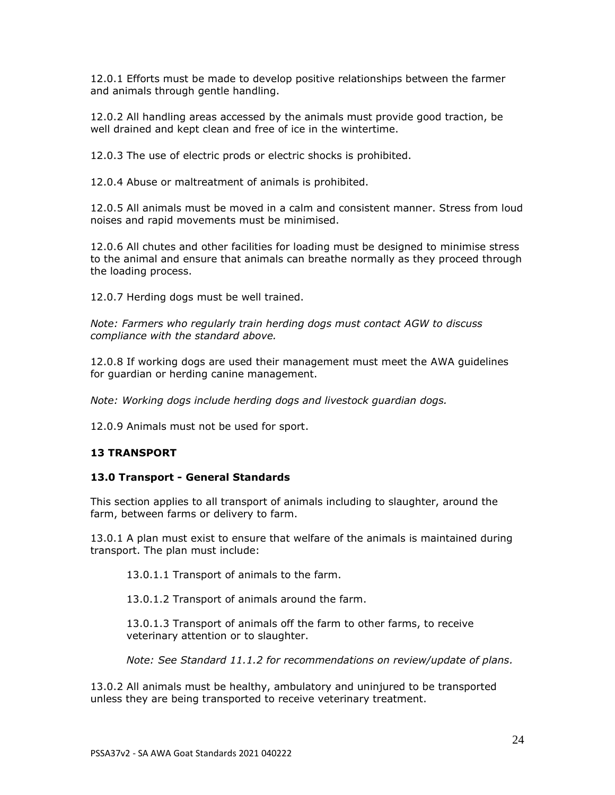12.0.1 Efforts must be made to develop positive relationships between the farmer and animals through gentle handling.

12.0.2 All handling areas accessed by the animals must provide good traction, be well drained and kept clean and free of ice in the wintertime.

12.0.3 The use of electric prods or electric shocks is prohibited.

12.0.4 Abuse or maltreatment of animals is prohibited.

12.0.5 All animals must be moved in a calm and consistent manner. Stress from loud noises and rapid movements must be minimised.

12.0.6 All chutes and other facilities for loading must be designed to minimise stress to the animal and ensure that animals can breathe normally as they proceed through the loading process.

12.0.7 Herding dogs must be well trained.

*Note: Farmers who regularly train herding dogs must contact AGW to discuss compliance with the standard above.*

12.0.8 If working dogs are used their management must meet the AWA guidelines for guardian or herding canine management.

*Note: Working dogs include herding dogs and livestock guardian dogs.*

12.0.9 Animals must not be used for sport.

### **13 TRANSPORT**

#### **13.0 Transport - General Standards**

This section applies to all transport of animals including to slaughter, around the farm, between farms or delivery to farm.

13.0.1 A plan must exist to ensure that welfare of the animals is maintained during transport. The plan must include:

13.0.1.1 Transport of animals to the farm.

13.0.1.2 Transport of animals around the farm.

13.0.1.3 Transport of animals off the farm to other farms, to receive veterinary attention or to slaughter.

*Note: See Standard 11.1.2 for recommendations on review/update of plans.*

13.0.2 All animals must be healthy, ambulatory and uninjured to be transported unless they are being transported to receive veterinary treatment.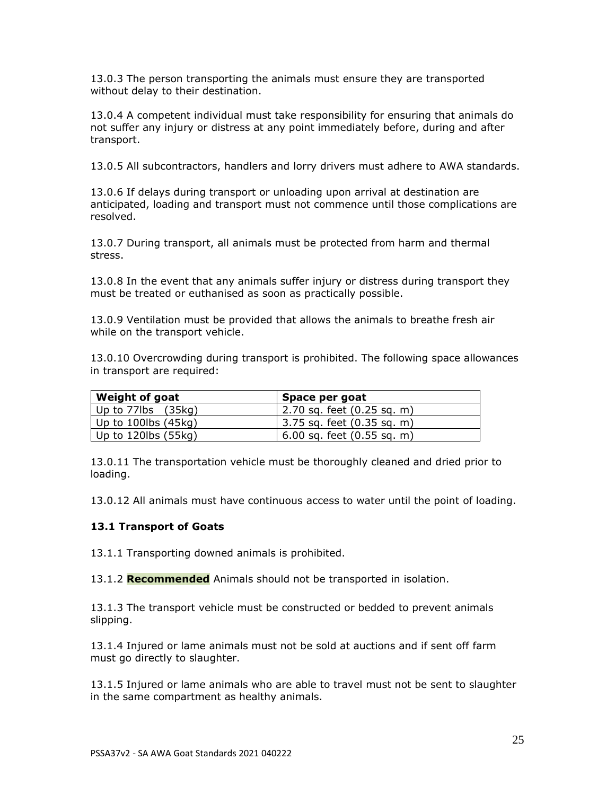13.0.3 The person transporting the animals must ensure they are transported without delay to their destination.

13.0.4 A competent individual must take responsibility for ensuring that animals do not suffer any injury or distress at any point immediately before, during and after transport.

13.0.5 All subcontractors, handlers and lorry drivers must adhere to AWA standards.

13.0.6 If delays during transport or unloading upon arrival at destination are anticipated, loading and transport must not commence until those complications are resolved.

13.0.7 During transport, all animals must be protected from harm and thermal stress.

13.0.8 In the event that any animals suffer injury or distress during transport they must be treated or euthanised as soon as practically possible.

13.0.9 Ventilation must be provided that allows the animals to breathe fresh air while on the transport vehicle.

13.0.10 Overcrowding during transport is prohibited. The following space allowances in transport are required:

| Weight of goat                              | Space per goat                 |  |
|---------------------------------------------|--------------------------------|--|
| Up to 77 $\mathsf{lbs}$ (35 $\mathsf{kq}$ ) | 2.70 sq. feet (0.25 sq. m)     |  |
| Up to 100lbs $(45kg)$                       | 3.75 sq. feet (0.35 sq. m)     |  |
| Up to 120lbs (55kg)                         | $6.00$ sq. feet $(0.55$ sq. m) |  |

13.0.11 The transportation vehicle must be thoroughly cleaned and dried prior to loading.

13.0.12 All animals must have continuous access to water until the point of loading.

### **13.1 Transport of Goats**

13.1.1 Transporting downed animals is prohibited.

13.1.2 **Recommended** Animals should not be transported in isolation.

13.1.3 The transport vehicle must be constructed or bedded to prevent animals slipping.

13.1.4 Injured or lame animals must not be sold at auctions and if sent off farm must go directly to slaughter.

13.1.5 Injured or lame animals who are able to travel must not be sent to slaughter in the same compartment as healthy animals.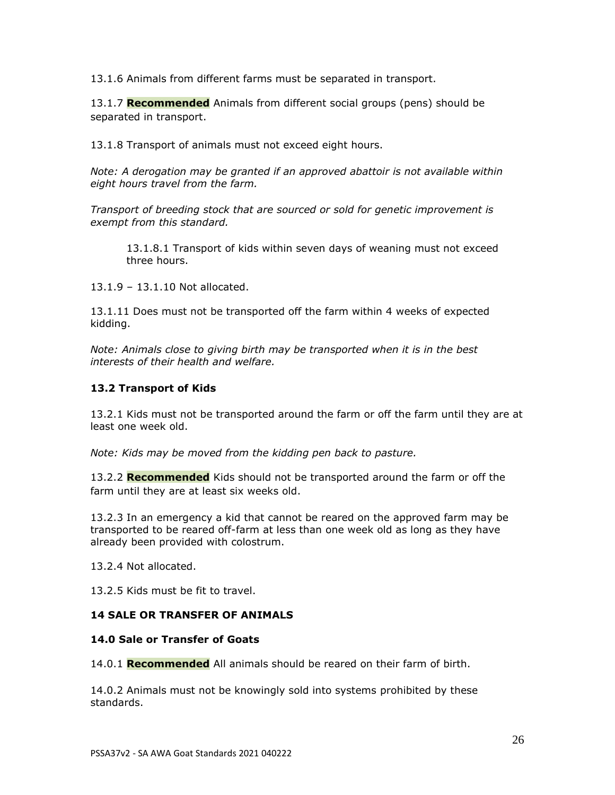13.1.6 Animals from different farms must be separated in transport.

13.1.7 **Recommended** Animals from different social groups (pens) should be separated in transport.

13.1.8 Transport of animals must not exceed eight hours.

*Note: A derogation may be granted if an approved abattoir is not available within eight hours travel from the farm.*

*Transport of breeding stock that are sourced or sold for genetic improvement is exempt from this standard.*

13.1.8.1 Transport of kids within seven days of weaning must not exceed three hours.

13.1.9 – 13.1.10 Not allocated.

13.1.11 Does must not be transported off the farm within 4 weeks of expected kidding.

*Note: Animals close to giving birth may be transported when it is in the best interests of their health and welfare.*

### **13.2 Transport of Kids**

13.2.1 Kids must not be transported around the farm or off the farm until they are at least one week old.

*Note: Kids may be moved from the kidding pen back to pasture.*

13.2.2 **Recommended** Kids should not be transported around the farm or off the farm until they are at least six weeks old.

13.2.3 In an emergency a kid that cannot be reared on the approved farm may be transported to be reared off-farm at less than one week old as long as they have already been provided with colostrum.

13.2.4 Not allocated.

13.2.5 Kids must be fit to travel.

### **14 SALE OR TRANSFER OF ANIMALS**

#### **14.0 Sale or Transfer of Goats**

14.0.1 **Recommended** All animals should be reared on their farm of birth.

14.0.2 Animals must not be knowingly sold into systems prohibited by these standards.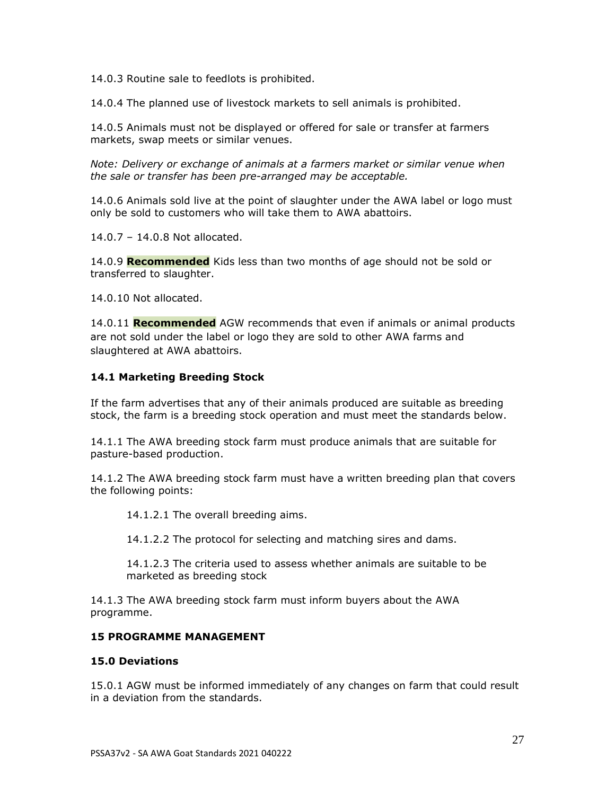14.0.3 Routine sale to feedlots is prohibited.

14.0.4 The planned use of livestock markets to sell animals is prohibited.

14.0.5 Animals must not be displayed or offered for sale or transfer at farmers markets, swap meets or similar venues.

*Note: Delivery or exchange of animals at a farmers market or similar venue when the sale or transfer has been pre-arranged may be acceptable.* 

14.0.6 Animals sold live at the point of slaughter under the AWA label or logo must only be sold to customers who will take them to AWA abattoirs.

14.0.7 – 14.0.8 Not allocated.

14.0.9 **Recommended** Kids less than two months of age should not be sold or transferred to slaughter.

14.0.10 Not allocated.

14.0.11 **Recommended** AGW recommends that even if animals or animal products are not sold under the label or logo they are sold to other AWA farms and slaughtered at AWA abattoirs.

### **14.1 Marketing Breeding Stock**

If the farm advertises that any of their animals produced are suitable as breeding stock, the farm is a breeding stock operation and must meet the standards below.

14.1.1 The AWA breeding stock farm must produce animals that are suitable for pasture-based production.

14.1.2 The AWA breeding stock farm must have a written breeding plan that covers the following points:

14.1.2.1 The overall breeding aims.

14.1.2.2 The protocol for selecting and matching sires and dams.

14.1.2.3 The criteria used to assess whether animals are suitable to be marketed as breeding stock

14.1.3 The AWA breeding stock farm must inform buyers about the AWA programme.

#### **15 PROGRAMME MANAGEMENT**

#### **15.0 Deviations**

15.0.1 AGW must be informed immediately of any changes on farm that could result in a deviation from the standards.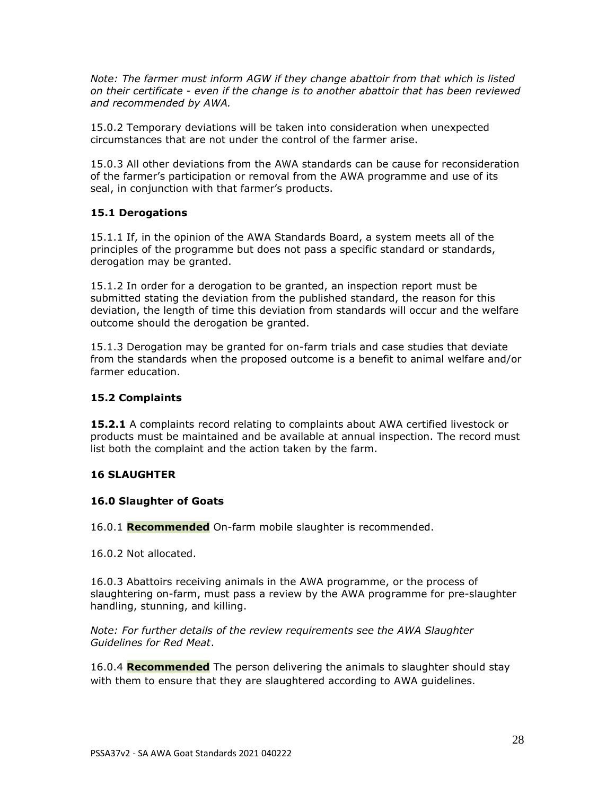*Note: The farmer must inform AGW if they change abattoir from that which is listed on their certificate - even if the change is to another abattoir that has been reviewed and recommended by AWA.*

15.0.2 Temporary deviations will be taken into consideration when unexpected circumstances that are not under the control of the farmer arise.

15.0.3 All other deviations from the AWA standards can be cause for reconsideration of the farmer's participation or removal from the AWA programme and use of its seal, in conjunction with that farmer's products.

## **15.1 Derogations**

15.1.1 If, in the opinion of the AWA Standards Board, a system meets all of the principles of the programme but does not pass a specific standard or standards, derogation may be granted.

15.1.2 In order for a derogation to be granted, an inspection report must be submitted stating the deviation from the published standard, the reason for this deviation, the length of time this deviation from standards will occur and the welfare outcome should the derogation be granted.

15.1.3 Derogation may be granted for on-farm trials and case studies that deviate from the standards when the proposed outcome is a benefit to animal welfare and/or farmer education.

### **15.2 Complaints**

**15.2.1** A complaints record relating to complaints about AWA certified livestock or products must be maintained and be available at annual inspection. The record must list both the complaint and the action taken by the farm.

### **16 SLAUGHTER**

### **16.0 Slaughter of Goats**

16.0.1 **Recommended** On-farm mobile slaughter is recommended.

16.0.2 Not allocated.

16.0.3 Abattoirs receiving animals in the AWA programme, or the process of slaughtering on-farm, must pass a review by the AWA programme for pre-slaughter handling, stunning, and killing.

*Note: For further details of the review requirements see the AWA Slaughter Guidelines for Red Meat*.

16.0.4 **Recommended** The person delivering the animals to slaughter should stay with them to ensure that they are slaughtered according to AWA guidelines.